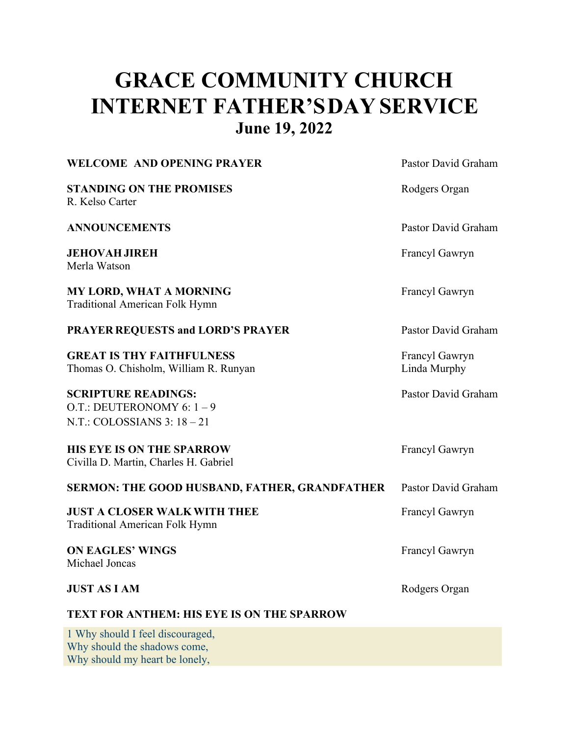# **GRACE COMMUNITY CHURCH INTERNET FATHER'SDAY SERVICE June 19, 2022**

#### **WELCOME** AND OPENING PRAYER **PRAYER** Pastor David Graham

**STANDING ON THE PROMISES** Rodgers Organ R. Kelso Carter

**ANNOUNCEMENTS** Pastor David Graham

**JEHOVAH JIREH** Francyl Gawryn Merla Watson

**MY LORD, WHAT A MORNING** Francyl Gawryn Traditional American Folk Hymn

**PRAYER REQUESTS and LORD'S PRAYER** Pastor David Graham

**GREAT IS THY FAITHFULNESS** Francyl Gawryn Thomas O. Chisholm, William R. Runyan Linda Murphy

## **SCRIPTURE READINGS:** Pastor David Graham

O.T.: DEUTERONOMY 6: 1 – 9  $NT: COLOSIANS 3: 18 - 21$ 

### **HIS EYE IS ON THE SPARROW** Francyl Gawryn

Civilla D. Martin, Charles H. Gabriel

**SERMON: THE GOOD HUSBAND, FATHER, GRANDFATHER** Pastor David Graham

**JUST A CLOSER** WALK WITH THEE Francyl Gawryn Traditional American Folk Hymn

**ON EAGLES' WINGS** Francyl Gawryn Michael Joncas

#### **JUST AS I AM** Rodgers Organ

### **TEXT FOR ANTHEM: HIS EYE IS ON THE SPARROW**

1 Why should I feel discouraged, Why should the shadows come, Why should my heart be lonely,